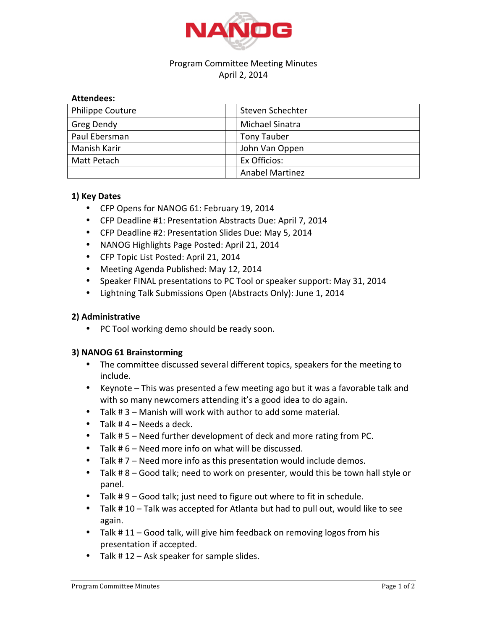

# Program Committee Meeting Minutes April 2, 2014

### **Attendees:**

| <b>Philippe Couture</b> | Steven Schechter       |
|-------------------------|------------------------|
| Greg Dendy              | Michael Sinatra        |
| Paul Ebersman           | <b>Tony Tauber</b>     |
| Manish Karir            | John Van Oppen         |
| Matt Petach             | Ex Officios:           |
|                         | <b>Anabel Martinez</b> |

### **1) Key Dates**

- CFP Opens for NANOG 61: February 19, 2014
- CFP Deadline #1: Presentation Abstracts Due: April 7, 2014
- CFP Deadline #2: Presentation Slides Due: May 5, 2014
- NANOG Highlights Page Posted: April 21, 2014
- CFP Topic List Posted: April 21, 2014
- Meeting Agenda Published: May 12, 2014
- Speaker FINAL presentations to PC Tool or speaker support: May 31, 2014
- Lightning Talk Submissions Open (Abstracts Only): June 1, 2014

## **2) Administrative**

• PC Tool working demo should be ready soon.

## **3) NANOG 61 Brainstorming**

- The committee discussed several different topics, speakers for the meeting to include.
- Keynote This was presented a few meeting ago but it was a favorable talk and with so many newcomers attending it's a good idea to do again.
- Talk  $# 3$  Manish will work with author to add some material.
- Talk  $# 4 Needs$  a deck.
- Talk # 5 Need further development of deck and more rating from PC.
- Talk  $# 6$  Need more info on what will be discussed.
- Talk  $# 7 -$  Need more info as this presentation would include demos.
- Talk #8 Good talk; need to work on presenter, would this be town hall style or panel.
- Talk  $# 9 -$  Good talk; just need to figure out where to fit in schedule.
- Talk  $# 10 -$  Talk was accepted for Atlanta but had to pull out, would like to see again.
- Talk # 11 Good talk, will give him feedback on removing logos from his presentation if accepted.
- Talk  $# 12 Ask speaker for sample slides.$